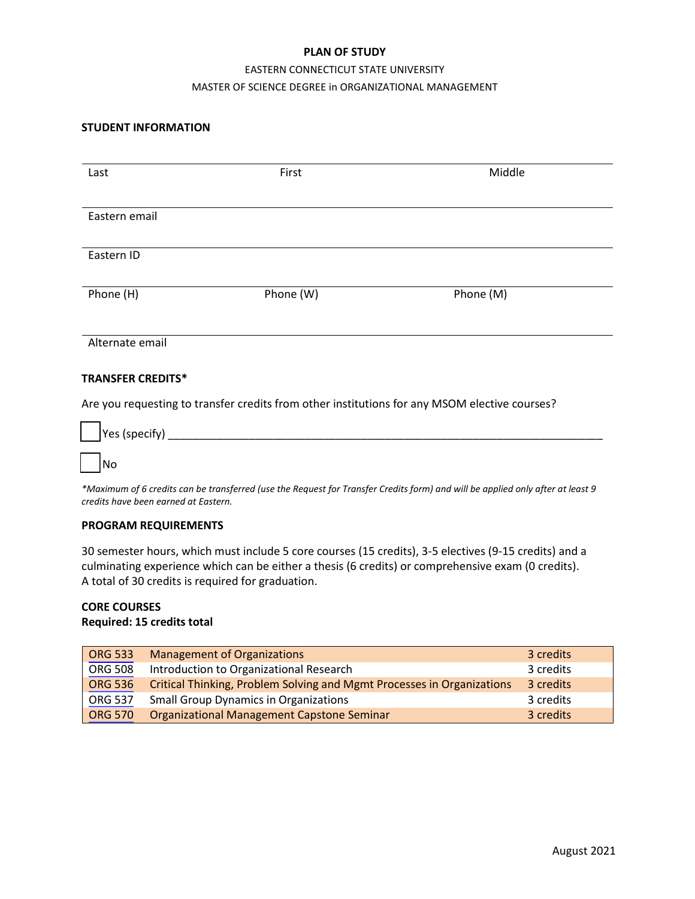### **PLAN OF STUDY**

# EASTERN CONNECTICUT STATE UNIVERSITY MASTER OF SCIENCE DEGREE in ORGANIZATIONAL MANAGEMENT

### **STUDENT INFORMATION**

| Last                                                                                          | First     | Middle    |  |  |
|-----------------------------------------------------------------------------------------------|-----------|-----------|--|--|
|                                                                                               |           |           |  |  |
| Eastern email                                                                                 |           |           |  |  |
|                                                                                               |           |           |  |  |
| Eastern ID                                                                                    |           |           |  |  |
| Phone (H)                                                                                     | Phone (W) | Phone (M) |  |  |
|                                                                                               |           |           |  |  |
| Alternate email                                                                               |           |           |  |  |
| <b>TRANSFER CREDITS*</b>                                                                      |           |           |  |  |
| Are you requesting to transfer credits from other institutions for any MSOM elective courses? |           |           |  |  |

| $\boxed{\phantom{a}}$ Yes (specify) |
|-------------------------------------|
|                                     |
| No                                  |

*\*Maximum of 6 credits can be transferred (use the Request for Transfer Credits form) and will be applied only after at least 9 credits have been earned at Eastern.*

#### **PROGRAM REQUIREMENTS**

30 semester hours, which must include 5 core courses (15 credits), 3-5 electives (9-15 credits) and a culminating experience which can be either a thesis (6 credits) or comprehensive exam (0 credits). A total of 30 credits is required for graduation.

# **CORE COURSES**

## **Required: 15 credits total**

| <b>ORG 533</b> | <b>Management of Organizations</b>                                     | 3 credits |
|----------------|------------------------------------------------------------------------|-----------|
| <b>ORG 508</b> | Introduction to Organizational Research                                | 3 credits |
| <b>ORG 536</b> | Critical Thinking, Problem Solving and Mgmt Processes in Organizations | 3 credits |
| <b>ORG 537</b> | <b>Small Group Dynamics in Organizations</b>                           | 3 credits |
| <b>ORG 570</b> | Organizational Management Capstone Seminar                             | 3 credits |